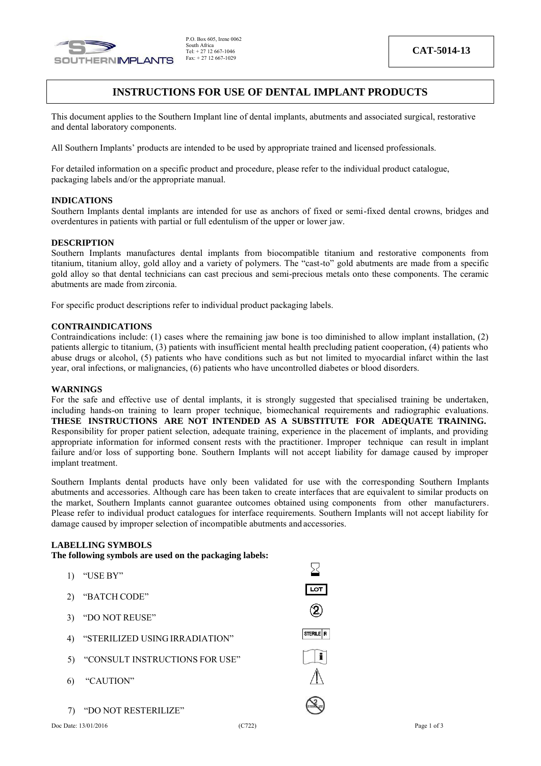

# **INSTRUCTIONS FOR USE OF DENTAL IMPLANT PRODUCTS**

This document applies to the Southern Implant line of dental implants, abutments and associated surgical, restorative and dental laboratory components.

All Southern Implants' products are intended to be used by appropriate trained and licensed professionals.

For detailed information on a specific product and procedure, please refer to the individual product catalogue, packaging labels and/or the appropriate manual.

#### **INDICATIONS**

Southern Implants dental implants are intended for use as anchors of fixed or semi-fixed dental crowns, bridges and overdentures in patients with partial or full edentulism of the upper or lower jaw.

### **DESCRIPTION**

Southern Implants manufactures dental implants from biocompatible titanium and restorative components from titanium, titanium alloy, gold alloy and a variety of polymers. The "cast-to" gold abutments are made from a specific gold alloy so that dental technicians can cast precious and semi-precious metals onto these components. The ceramic abutments are made from zirconia.

For specific product descriptions refer to individual product packaging labels.

#### **CONTRAINDICATIONS**

Contraindications include: (1) cases where the remaining jaw bone is too diminished to allow implant installation, (2) patients allergic to titanium, (3) patients with insufficient mental health precluding patient cooperation, (4) patients who abuse drugs or alcohol, (5) patients who have conditions such as but not limited to myocardial infarct within the last year, oral infections, or malignancies, (6) patients who have uncontrolled diabetes or blood disorders.

#### **WARNINGS**

For the safe and effective use of dental implants, it is strongly suggested that specialised training be undertaken, including hands-on training to learn proper technique, biomechanical requirements and radiographic evaluations. **THESE INSTRUCTIONS ARE NOT INTENDED AS A SUBSTITUTE FOR ADEQUATE TRAINING.** Responsibility for proper patient selection, adequate training, experience in the placement of implants, and providing appropriate information for informed consent rests with the practitioner. Improper technique can result in implant failure and/or loss of supporting bone. Southern Implants will not accept liability for damage caused by improper implant treatment.

Southern Implants dental products have only been validated for use with the corresponding Southern Implants abutments and accessories. Although care has been taken to create interfaces that are equivalent to similar products on the market, Southern Implants cannot guarantee outcomes obtained using components from other manufacturers. Please refer to individual product catalogues for interface requirements. Southern Implants will not accept liability for damage caused by improper selection of incompatible abutments and accessories.

 $\overline{\phantom{a}}$ 

# **LABELLING SYMBOLS**

**The following symbols are used on the packaging labels:**

| "USE BY"<br>1)                       |                       |
|--------------------------------------|-----------------------|
| "BATCH CODE"<br>2)                   | <b>LOT</b>            |
| 3) "DO NOT REUSE"                    |                       |
| "STERILIZED USING IRRADIATION"<br>4) | STERILE R             |
| "CONSULT INSTRUCTIONS FOR USE"<br>5) |                       |
| "CAUTION"<br>6)                      |                       |
| 7) "DO NOT RESTERILIZE"              |                       |
| Doc Date: 13/01/2016                 | (C722)<br>Page 1 of 3 |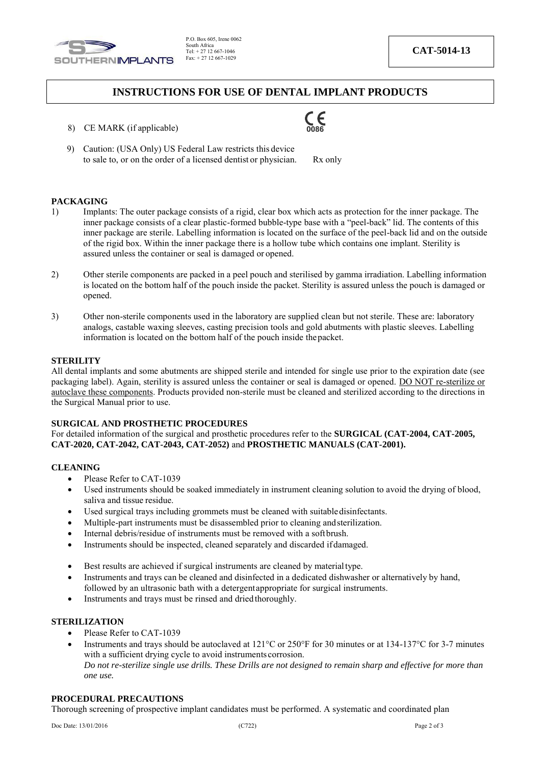

# **INSTRUCTIONS FOR USE OF DENTAL IMPLANT PRODUCTS**

- 8) CE MARK (if applicable)
- 9) Caution: (USA Only) US Federal Law restricts this device to sale to, or on the order of a licensed dentist or physician. Rx only

#### **PACKAGING**

- 1) Implants: The outer package consists of a rigid, clear box which acts as protection for the inner package. The inner package consists of a clear plastic-formed bubble-type base with a "peel-back" lid. The contents of this inner package are sterile. Labelling information is located on the surface of the peel-back lid and on the outside of the rigid box. Within the inner package there is a hollow tube which contains one implant. Sterility is assured unless the container or seal is damaged or opened.
- 2) Other sterile components are packed in a peel pouch and sterilised by gamma irradiation. Labelling information is located on the bottom half of the pouch inside the packet. Sterility is assured unless the pouch is damaged or opened.
- 3) Other non-sterile components used in the laboratory are supplied clean but not sterile. These are: laboratory analogs, castable waxing sleeves, casting precision tools and gold abutments with plastic sleeves. Labelling information is located on the bottom half of the pouch inside thepacket.

### **STERILITY**

All dental implants and some abutments are shipped sterile and intended for single use prior to the expiration date (see packaging label). Again, sterility is assured unless the container or seal is damaged or opened. DO NOT re-sterilize or autoclave these components. Products provided non-sterile must be cleaned and sterilized according to the directions in the Surgical Manual prior to use.

### **SURGICAL AND PROSTHETIC PROCEDURES**

For detailed information of the surgical and prosthetic procedures refer to the **SURGICAL (CAT-2004, CAT-2005, CAT-2020, CAT-2042, CAT-2043, CAT-2052)** and **PROSTHETIC MANUALS (CAT-2001).**

#### **CLEANING**

- Please Refer to CAT-1039
- Used instruments should be soaked immediately in instrument cleaning solution to avoid the drying of blood, saliva and tissue residue.
- Used surgical trays including grommets must be cleaned with suitabledisinfectants.
- Multiple-part instruments must be disassembled prior to cleaning and sterilization.
- Internal debris/residue of instruments must be removed with a softbrush.
- Instruments should be inspected, cleaned separately and discarded ifdamaged.
- Best results are achieved if surgical instruments are cleaned by materialtype.
- Instruments and trays can be cleaned and disinfected in a dedicated dishwasher or alternatively by hand, followed by an ultrasonic bath with a detergentappropriate for surgical instruments.
- Instruments and trays must be rinsed and dried thoroughly.

# **STERILIZATION**

- Please Refer to CAT-1039
- Instruments and trays should be autoclaved at 121°C or 250°F for 30 minutes or at 134-137°C for 3-7 minutes with a sufficient drying cycle to avoid instruments corrosion. *Do not re-sterilize single use drills. These Drills are not designed to remain sharp and effective for more than one use.*

#### **PROCEDURAL PRECAUTIONS**

Thorough screening of prospective implant candidates must be performed. A systematic and coordinated plan